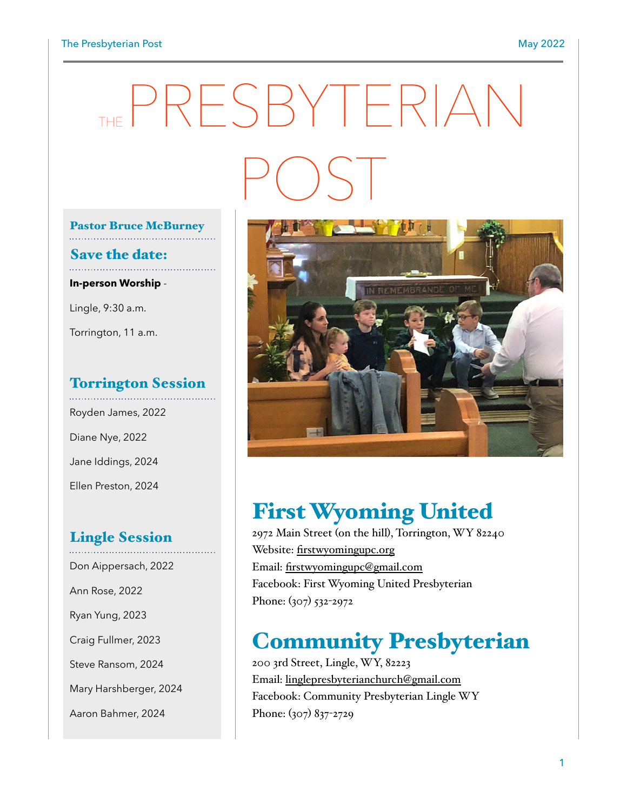#### The Presbyterian Post **May 2022**

# THE PRESBYTERIAN POST

### Pastor Bruce McBurney

## Save the date:

**In-person Worship** -

Lingle, 9:30 a.m.

Torrington, 11 a.m.

#### Torrington Session

Royden James, 2022 Diane Nye, 2022 Jane Iddings, 2024 Ellen Preston, 2024

#### Lingle Session

Don Aippersach, 2022 Ann Rose, 2022 Ryan Yung, 2023 Craig Fullmer, 2023 Steve Ransom, 2024 Mary Harshberger, 2024 Aaron Bahmer, 2024



## First Wyoming United

2972 Main Street (on the hill), Torrington, WY 82240 Website: [firstwyomingupc.org](http://firstwyomingupc.org) Email: [firstwyomingupc@gmail.com](mailto:firstwyomingupc@gmail.com) Facebook: First Wyoming United Presbyterian Phone: (307) 532-2972

# Community Presbyterian

200 3rd Street, Lingle, WY, 82223 Email: [linglepresbyterianchurch@gmail.com](mailto:linglepresbyterianchurch@gmail.com) Facebook: Community Presbyterian Lingle WY Phone: (307) 837-2729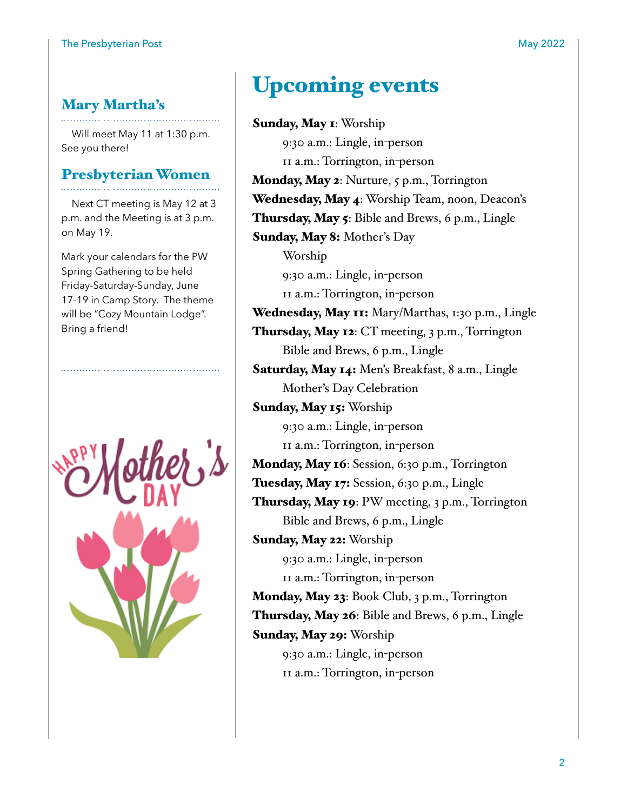#### Mary Martha's

Will meet May 11 at 1:30 p.m. See you there!

## Presbyterian Women

Next CT meeting is May 12 at 3 p.m. and the Meeting is at 3 p.m. on May 19.

Mark your calendars for the PW Spring Gathering to be held Friday-Saturday-Sunday, June 17-19 in Camp Story. The theme will be "Cozy Mountain Lodge". Bring a friend!



# Upcoming events

Sunday, May 1: Worship 9:30 a.m.: Lingle, in-person 11 a.m.: Torrington, in-person Monday, May 2: Nurture, 5 p.m., Torrington Wednesday, May 4: Worship Team, noon, Deacon's Thursday, May 5: Bible and Brews, 6 p.m., Lingle Sunday, May 8: Mother's Day Worship 9:30 a.m.: Lingle, in-person 11 a.m.: Torrington, in-person Wednesday, May 11: Mary/Marthas, 1:30 p.m., Lingle Thursday, May 12: CT meeting, 3 p.m., Torrington Bible and Brews, 6 p.m., Lingle Saturday, May 14: Men's Breakfast, 8 a.m., Lingle Mother's Day Celebration Sunday, May 15: Worship 9:30 a.m.: Lingle, in-person 11 a.m.: Torrington, in-person Monday, May 16: Session, 6:30 p.m., Torrington Tuesday, May 17: Session, 6:30 p.m., Lingle Thursday, May 19: PW meeting, 3 p.m., Torrington Bible and Brews, 6 p.m., Lingle Sunday, May 22: Worship 9:30 a.m.: Lingle, in-person 11 a.m.: Torrington, in-person Monday, May 23: Book Club, 3 p.m., Torrington Thursday, May 26: Bible and Brews, 6 p.m., Lingle Sunday, May 29: Worship 9:30 a.m.: Lingle, in-person 11 a.m.: Torrington, in-person